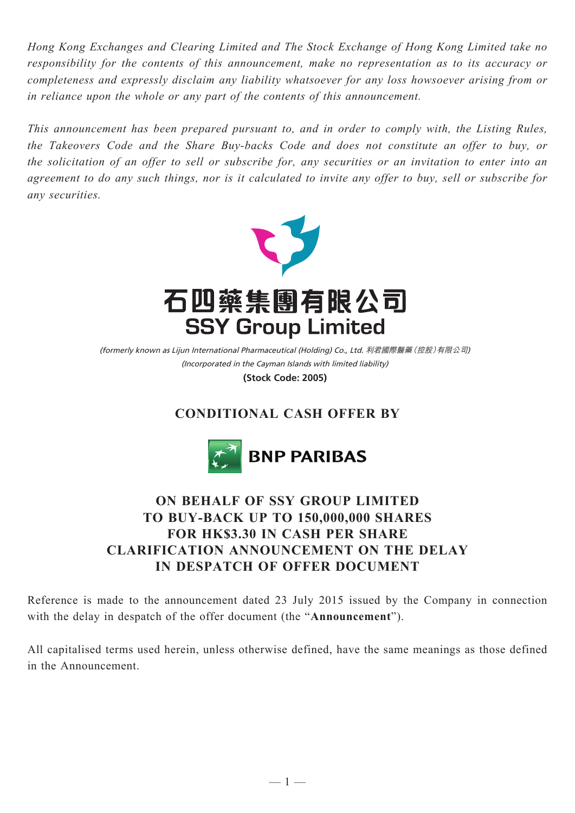*Hong Kong Exchanges and Clearing Limited and The Stock Exchange of Hong Kong Limited take no responsibility for the contents of this announcement, make no representation as to its accuracy or completeness and expressly disclaim any liability whatsoever for any loss howsoever arising from or in reliance upon the whole or any part of the contents of this announcement.*

*This announcement has been prepared pursuant to, and in order to comply with, the Listing Rules, the Takeovers Code and the Share Buy-backs Code and does not constitute an offer to buy, or the solicitation of an offer to sell or subscribe for, any securities or an invitation to enter into an agreement to do any such things, nor is it calculated to invite any offer to buy, sell or subscribe for any securities.*



(Incorporated in the Cayman Islands with limited liability) (formerly known as Lijun International Pharmaceutical (Holding) Co., Ltd. 利君國際醫藥(控股)有限公司)

**(Stock Code: 2005)**

## **CONDITIONAL CASH OFFER BY**



## **ON BEHALF OF SSY GROUP LIMITED TO BUY-BACK UP TO 150,000,000 SHARES FOR HK\$3.30 IN CASH PER SHARE CLARIFICATION ANNOUNCEMENT ON THE DELAY IN DESPATCH OF OFFER DOCUMENT**

Reference is made to the announcement dated 23 July 2015 issued by the Company in connection with the delay in despatch of the offer document (the "**Announcement**").

All capitalised terms used herein, unless otherwise defined, have the same meanings as those defined in the Announcement.